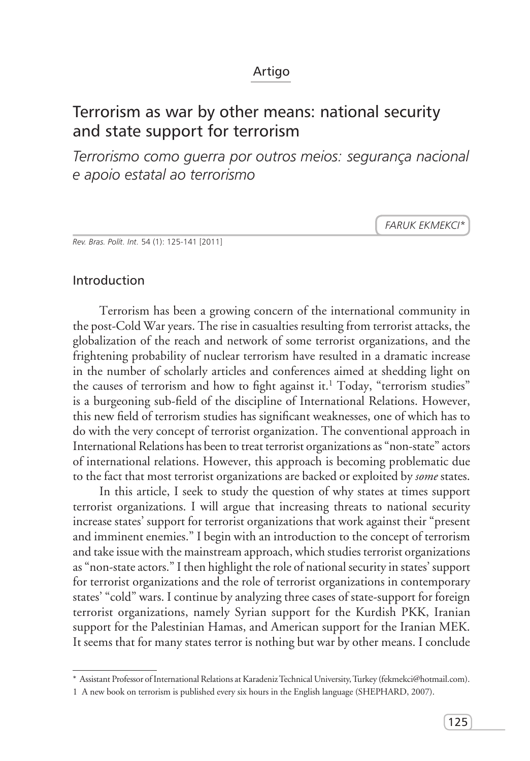## Artigo

# Terrorism as war by other means: national security and state support for terrorism

*Terrorismo como guerra por outros meios: segurança nacional e apoio estatal ao terrorismo*

*Faruk Ekmekci\**

*Rev. Bras. Polít. Int.* 54 (1): 125-141 [2011]

## Introduction

Terrorism has been a growing concern of the international community in the post-Cold War years. The rise in casualties resulting from terrorist attacks, the globalization of the reach and network of some terrorist organizations, and the frightening probability of nuclear terrorism have resulted in a dramatic increase in the number of scholarly articles and conferences aimed at shedding light on the causes of terrorism and how to fight against it.<sup>1</sup> Today, "terrorism studies" is a burgeoning sub-field of the discipline of International Relations. However, this new field of terrorism studies has significant weaknesses, one of which has to do with the very concept of terrorist organization. The conventional approach in International Relations has been to treat terrorist organizations as "non-state" actors of international relations. However, this approach is becoming problematic due to the fact that most terrorist organizations are backed or exploited by *some* states.

In this article, I seek to study the question of why states at times support terrorist organizations. I will argue that increasing threats to national security increase states' support for terrorist organizations that work against their "present and imminent enemies." I begin with an introduction to the concept of terrorism and take issue with the mainstream approach, which studies terrorist organizations as "non-state actors." I then highlight the role of national security in states' support for terrorist organizations and the role of terrorist organizations in contemporary states' "cold" wars. I continue by analyzing three cases of state-support for foreign terrorist organizations, namely Syrian support for the Kurdish PKK, Iranian support for the Palestinian Hamas, and American support for the Iranian MEK. It seems that for many states terror is nothing but war by other means. I conclude

<sup>\*</sup> Assistant Professor of International Relations at Karadeniz Technical University, Turkey (fekmekci@hotmail.com).

<sup>1</sup> A new book on terrorism is published every six hours in the English language (SHEPHARD, 2007).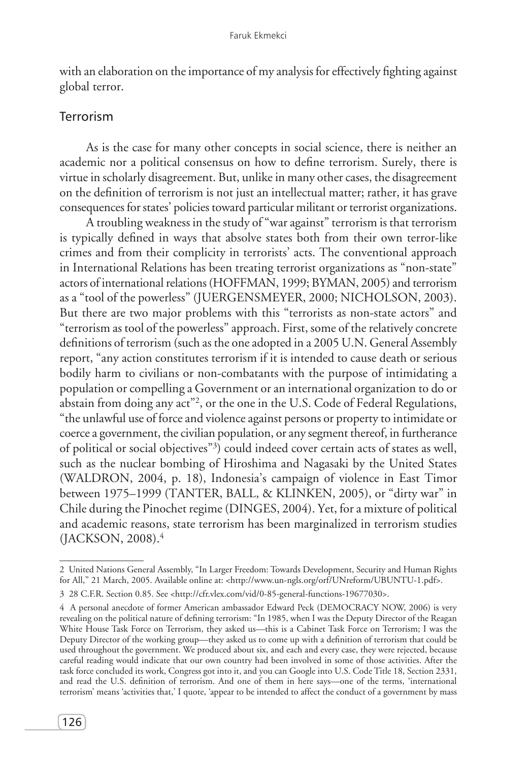with an elaboration on the importance of my analysis for effectively fighting against global terror.

## Terrorism

As is the case for many other concepts in social science, there is neither an academic nor a political consensus on how to define terrorism. Surely, there is virtue in scholarly disagreement. But, unlike in many other cases, the disagreement on the definition of terrorism is not just an intellectual matter; rather, it has grave consequences for states' policies toward particular militant or terrorist organizations.

A troubling weakness in the study of "war against" terrorism is that terrorism is typically defined in ways that absolve states both from their own terror-like crimes and from their complicity in terrorists' acts. The conventional approach in International Relations has been treating terrorist organizations as "non-state" actors of international relations (HOFFMAN, 1999; BYMAN, 2005) and terrorism as a "tool of the powerless" (JUERGENSMEYER, 2000; NICHOLSON, 2003). But there are two major problems with this "terrorists as non-state actors" and "terrorism as tool of the powerless" approach. First, some of the relatively concrete definitions of terrorism (such as the one adopted in a 2005 U.N. General Assembly report, "any action constitutes terrorism if it is intended to cause death or serious bodily harm to civilians or non-combatants with the purpose of intimidating a population or compelling a Government or an international organization to do or abstain from doing any act"<sup>2</sup>, or the one in the U.S. Code of Federal Regulations, "the unlawful use of force and violence against persons or property to intimidate or coerce a government, the civilian population, or any segment thereof, in furtherance of political or social objectives"3 ) could indeed cover certain acts of states as well, such as the nuclear bombing of Hiroshima and Nagasaki by the United States (WALDRON, 2004, p. 18), Indonesia's campaign of violence in East Timor between 1975–1999 (TANTER, BALL, & KLINKEN, 2005), or "dirty war" in Chile during the Pinochet regime (DINGES, 2004). Yet, for a mixture of political and academic reasons, state terrorism has been marginalized in terrorism studies (JACKSON, 2008).4

<sup>2</sup> United Nations General Assembly, "In Larger Freedom: Towards Development, Security and Human Rights for All," 21 March, 2005. Available online at: <http://www.un-ngls.org/orf/UNreform/UBUNTU-1.pdf>.

<sup>3 28</sup> C.F.R. Section 0.85. See <http://cfr.vlex.com/vid/0-85-general-functions-19677030>.

<sup>4</sup> A personal anecdote of former American ambassador Edward Peck (DEMOCRACY NOW, 2006) is very revealing on the political nature of defining terrorism: "In 1985, when I was the Deputy Director of the Reagan White House Task Force on Terrorism, they asked us—this is a Cabinet Task Force on Terrorism; I was the Deputy Director of the working group—they asked us to come up with a definition of terrorism that could be used throughout the government. We produced about six, and each and every case, they were rejected, because careful reading would indicate that our own country had been involved in some of those activities. After the task force concluded its work, Congress got into it, and you can Google into U.S. Code Title 18, Section 2331, and read the U.S. definition of terrorism. And one of them in here says—one of the terms, 'international terrorism' means 'activities that,' I quote, 'appear to be intended to affect the conduct of a government by mass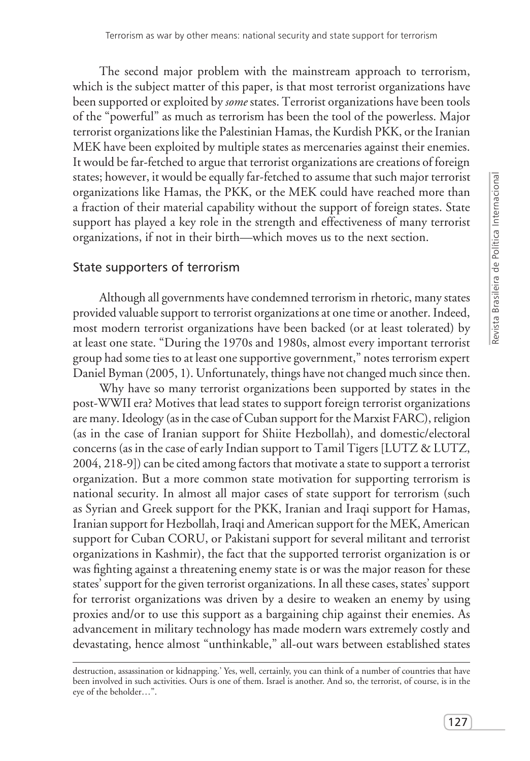The second major problem with the mainstream approach to terrorism, which is the subject matter of this paper, is that most terrorist organizations have been supported or exploited by *some* states. Terrorist organizations have been tools of the "powerful" as much as terrorism has been the tool of the powerless. Major terrorist organizations like the Palestinian Hamas, the Kurdish PKK, or the Iranian MEK have been exploited by multiple states as mercenaries against their enemies. It would be far-fetched to argue that terrorist organizations are creations of foreign states; however, it would be equally far-fetched to assume that such major terrorist organizations like Hamas, the PKK, or the MEK could have reached more than a fraction of their material capability without the support of foreign states. State support has played a key role in the strength and effectiveness of many terrorist organizations, if not in their birth—which moves us to the next section.

### State supporters of terrorism

Although all governments have condemned terrorism in rhetoric, many states provided valuable support to terrorist organizations at one time or another. Indeed, most modern terrorist organizations have been backed (or at least tolerated) by at least one state. "During the 1970s and 1980s, almost every important terrorist group had some ties to at least one supportive government," notes terrorism expert Daniel Byman (2005, 1). Unfortunately, things have not changed much since then.

Why have so many terrorist organizations been supported by states in the post-WWII era? Motives that lead states to support foreign terrorist organizations are many. Ideology (as in the case of Cuban support for the Marxist FARC), religion (as in the case of Iranian support for Shiite Hezbollah), and domestic/electoral concerns (as in the case of early Indian support to Tamil Tigers [LUTZ & LUTZ, 2004, 218-9]) can be cited among factors that motivate a state to support a terrorist organization. But a more common state motivation for supporting terrorism is national security. In almost all major cases of state support for terrorism (such as Syrian and Greek support for the PKK, Iranian and Iraqi support for Hamas, Iranian support for Hezbollah, Iraqi and American support for the MEK, American support for Cuban CORU, or Pakistani support for several militant and terrorist organizations in Kashmir), the fact that the supported terrorist organization is or was fighting against a threatening enemy state is or was the major reason for these states' support for the given terrorist organizations. In all these cases, states' support for terrorist organizations was driven by a desire to weaken an enemy by using proxies and/or to use this support as a bargaining chip against their enemies. As advancement in military technology has made modern wars extremely costly and devastating, hence almost "unthinkable," all-out wars between established states

destruction, assassination or kidnapping.' Yes, well, certainly, you can think of a number of countries that have been involved in such activities. Ours is one of them. Israel is another. And so, the terrorist, of course, is in the eye of the beholder…".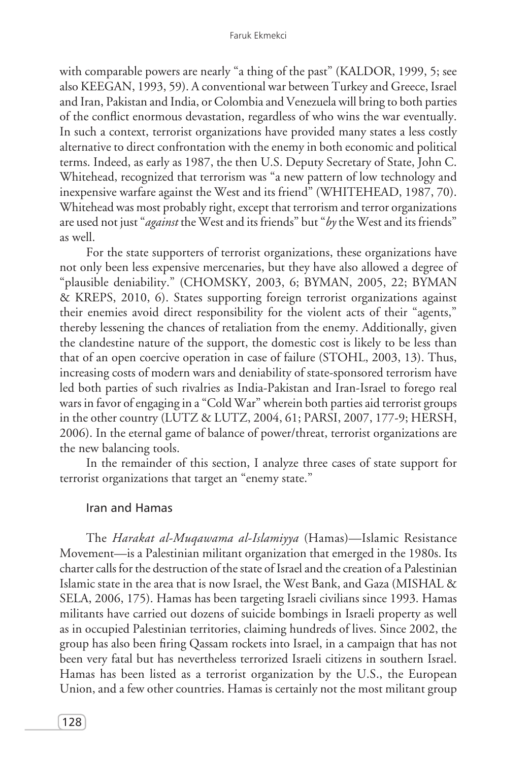with comparable powers are nearly "a thing of the past" (KALDOR, 1999, 5; see also KEEGAN, 1993, 59). A conventional war between Turkey and Greece, Israel and Iran, Pakistan and India, or Colombia and Venezuela will bring to both parties of the conflict enormous devastation, regardless of who wins the war eventually. In such a context, terrorist organizations have provided many states a less costly alternative to direct confrontation with the enemy in both economic and political terms. Indeed, as early as 1987, the then U.S. Deputy Secretary of State, John C. Whitehead, recognized that terrorism was "a new pattern of low technology and inexpensive warfare against the West and its friend" (WHITEHEAD, 1987, 70). Whitehead was most probably right, except that terrorism and terror organizations are used not just "*against* the West and its friends" but "*by* the West and its friends" as well.

For the state supporters of terrorist organizations, these organizations have not only been less expensive mercenaries, but they have also allowed a degree of "plausible deniability." (CHOMSKY, 2003, 6; BYMAN, 2005, 22; BYMAN & KREPS, 2010, 6). States supporting foreign terrorist organizations against their enemies avoid direct responsibility for the violent acts of their "agents," thereby lessening the chances of retaliation from the enemy. Additionally, given the clandestine nature of the support, the domestic cost is likely to be less than that of an open coercive operation in case of failure (STOHL, 2003, 13). Thus, increasing costs of modern wars and deniability of state-sponsored terrorism have led both parties of such rivalries as India-Pakistan and Iran-Israel to forego real wars in favor of engaging in a "Cold War" wherein both parties aid terrorist groups in the other country (LUTZ & LUTZ, 2004, 61; PARSI, 2007, 177-9; HERSH, 2006). In the eternal game of balance of power/threat, terrorist organizations are the new balancing tools.

In the remainder of this section, I analyze three cases of state support for terrorist organizations that target an "enemy state."

### Iran and Hamas

The *Harakat al-Muqawama al-Islamiyya* (Hamas)—Islamic Resistance Movement—is a Palestinian militant organization that emerged in the 1980s. Its charter calls for the destruction of the state of Israel and the creation of a Palestinian Islamic state in the area that is now Israel, the West Bank, and Gaza (MISHAL & SELA, 2006, 175). Hamas has been targeting Israeli civilians since 1993. Hamas militants have carried out dozens of suicide bombings in Israeli property as well as in occupied Palestinian territories, claiming hundreds of lives. Since 2002, the group has also been firing Qassam rockets into Israel, in a campaign that has not been very fatal but has nevertheless terrorized Israeli citizens in southern Israel. Hamas has been listed as a terrorist organization by the U.S., the European Union, and a few other countries. Hamas is certainly not the most militant group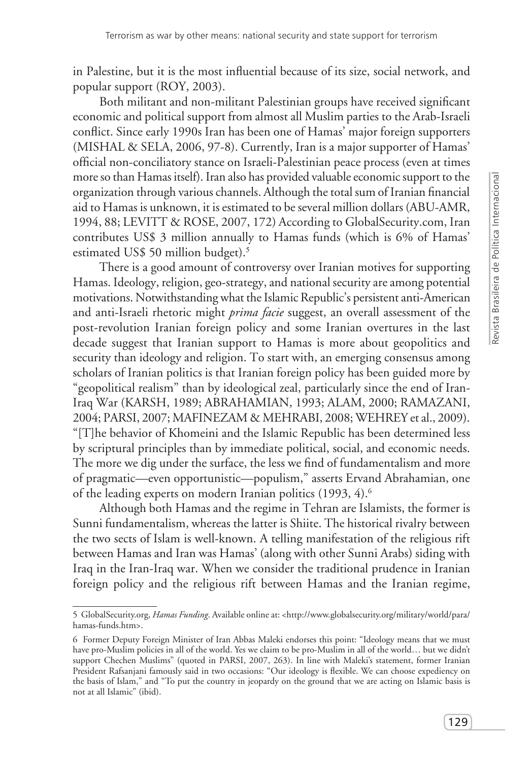in Palestine, but it is the most influential because of its size, social network, and popular support (ROY, 2003).

Both militant and non-militant Palestinian groups have received significant economic and political support from almost all Muslim parties to the Arab-Israeli conflict. Since early 1990s Iran has been one of Hamas' major foreign supporters (MISHAL & SELA, 2006, 97-8). Currently, Iran is a major supporter of Hamas' official non-conciliatory stance on Israeli-Palestinian peace process (even at times more so than Hamas itself). Iran also has provided valuable economic support to the organization through various channels. Although the total sum of Iranian financial aid to Hamas is unknown, it is estimated to be several million dollars (ABU-AMR, 1994, 88; LEVITT & ROSE, 2007, 172) According to GlobalSecurity.com, Iran contributes US\$ 3 million annually to Hamas funds (which is 6% of Hamas' estimated US\$ 50 million budget).<sup>5</sup>

There is a good amount of controversy over Iranian motives for supporting Hamas. Ideology, religion, geo-strategy, and national security are among potential motivations. Notwithstanding what the Islamic Republic's persistent anti-American and anti-Israeli rhetoric might *prima facie* suggest, an overall assessment of the post-revolution Iranian foreign policy and some Iranian overtures in the last decade suggest that Iranian support to Hamas is more about geopolitics and security than ideology and religion. To start with, an emerging consensus among scholars of Iranian politics is that Iranian foreign policy has been guided more by "geopolitical realism" than by ideological zeal, particularly since the end of Iran-Iraq War (KARSH, 1989; ABRAHAMIAN, 1993; ALAM, 2000; RAMAZANI, 2004; PARSI, 2007; MAFINEZAM & MEHRABI, 2008; WEHREY et al., 2009). "[T]he behavior of Khomeini and the Islamic Republic has been determined less by scriptural principles than by immediate political, social, and economic needs. The more we dig under the surface, the less we find of fundamentalism and more of pragmatic—even opportunistic—populism," asserts Ervand Abrahamian, one of the leading experts on modern Iranian politics (1993, 4).<sup>6</sup>

Although both Hamas and the regime in Tehran are Islamists, the former is Sunni fundamentalism, whereas the latter is Shiite. The historical rivalry between the two sects of Islam is well-known. A telling manifestation of the religious rift between Hamas and Iran was Hamas' (along with other Sunni Arabs) siding with Iraq in the Iran-Iraq war. When we consider the traditional prudence in Iranian foreign policy and the religious rift between Hamas and the Iranian regime,

<sup>5</sup> GlobalSecurity.org, *Hamas Funding*. Available online at: <http://www.globalsecurity.org/military/world/para/ hamas-funds.htm>.

<sup>6</sup> Former Deputy Foreign Minister of Iran Abbas Maleki endorses this point: "Ideology means that we must have pro-Muslim policies in all of the world. Yes we claim to be pro-Muslim in all of the world… but we didn't support Chechen Muslims" (quoted in PARSI, 2007, 263). In line with Maleki's statement, former Iranian President Rafsanjani famously said in two occasions: "Our ideology is flexible. We can choose expediency on the basis of Islam," and "To put the country in jeopardy on the ground that we are acting on Islamic basis is not at all Islamic" (ibid).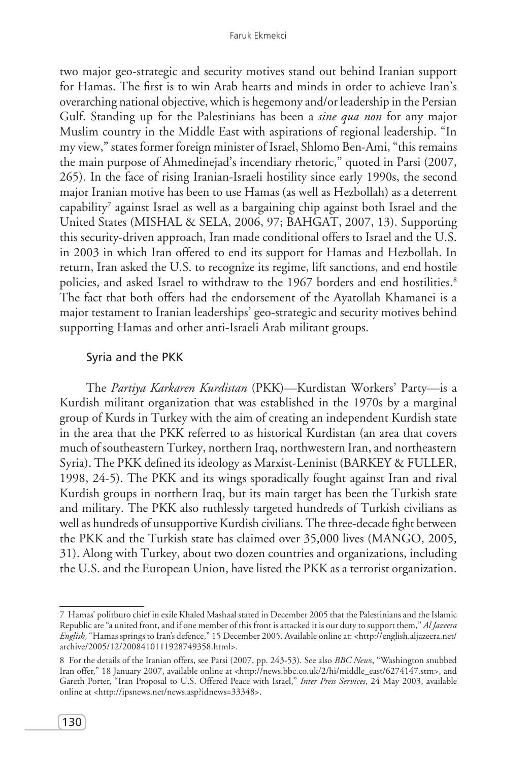two major geo-strategic and security motives stand out behind Iranian support for Hamas. The first is to win Arab hearts and minds in order to achieve Iran's overarching national objective, which is hegemony and/or leadership in the Persian Gulf. Standing up for the Palestinians has been a *sine qua non* for any major Muslim country in the Middle East with aspirations of regional leadership. "In my view," states former foreign minister of Israel, Shlomo Ben-Ami, "this remains the main purpose of Ahmedinejad's incendiary rhetoric," quoted in Parsi (2007, 265). In the face of rising Iranian-Israeli hostility since early 1990s, the second major Iranian motive has been to use Hamas (as well as Hezbollah) as a deterrent capability7 against Israel as well as a bargaining chip against both Israel and the United States (MISHAL & SELA, 2006, 97; BAHGAT, 2007, 13). Supporting this security-driven approach, Iran made conditional offers to Israel and the U.S. in 2003 in which Iran offered to end its support for Hamas and Hezbollah. In return, Iran asked the U.S. to recognize its regime, lift sanctions, and end hostile policies, and asked Israel to withdraw to the 1967 borders and end hostilities.<sup>8</sup> The fact that both offers had the endorsement of the Ayatollah Khamanei is a major testament to Iranian leaderships' geo-strategic and security motives behind supporting Hamas and other anti-Israeli Arab militant groups.

#### Syria and the PKK

The *Partiya Karkaren Kurdistan* (PKK)—Kurdistan Workers' Party—is a Kurdish militant organization that was established in the 1970s by a marginal group of Kurds in Turkey with the aim of creating an independent Kurdish state in the area that the PKK referred to as historical Kurdistan (an area that covers much of southeastern Turkey, northern Iraq, northwestern Iran, and northeastern Syria). The PKK defined its ideology as Marxist-Leninist (BARKEY & FULLER, 1998, 24-5). The PKK and its wings sporadically fought against Iran and rival Kurdish groups in northern Iraq, but its main target has been the Turkish state and military. The PKK also ruthlessly targeted hundreds of Turkish civilians as well as hundreds of unsupportive Kurdish civilians. The three-decade fight between the PKK and the Turkish state has claimed over 35,000 lives (MANGO, 2005, 31). Along with Turkey, about two dozen countries and organizations, including the U.S. and the European Union, have listed the PKK as a terrorist organization.

<sup>7</sup> Hamas' politburo chief in exile Khaled Mashaal stated in December 2005 that the Palestinians and the Islamic Republic are "a united front, and if one member of this front is attacked it is our duty to support them," *Al Jazeera English*, "Hamas springs to Iran's defence," 15 December 2005. Available online at: <http://english.aljazeera.net/ archive/2005/12/2008410111928749358.html>.

<sup>8</sup> For the details of the Iranian offers, see Parsi (2007, pp. 243-53). See also *BBC News*, "Washington snubbed Iran offer," 18 January 2007, available online at <http://news.bbc.co.uk/2/hi/middle\_east/6274147.stm>, and Gareth Porter, "Iran Proposal to U.S. Offered Peace with Israel," *Inter Press Services*, 24 May 2003, available online at <http://ipsnews.net/news.asp?idnews=33348>.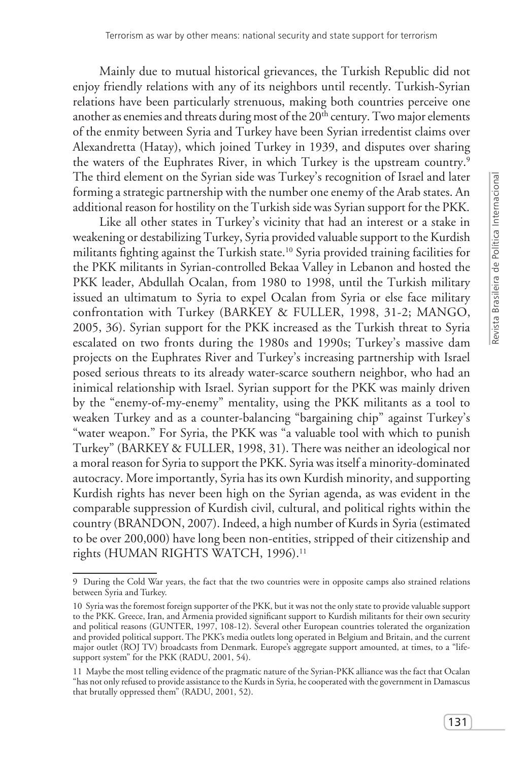Mainly due to mutual historical grievances, the Turkish Republic did not enjoy friendly relations with any of its neighbors until recently. Turkish-Syrian relations have been particularly strenuous, making both countries perceive one another as enemies and threats during most of the  $20<sup>th</sup>$  century. Two major elements of the enmity between Syria and Turkey have been Syrian irredentist claims over Alexandretta (Hatay), which joined Turkey in 1939, and disputes over sharing the waters of the Euphrates River, in which Turkey is the upstream country.<sup>9</sup> The third element on the Syrian side was Turkey's recognition of Israel and later forming a strategic partnership with the number one enemy of the Arab states. An additional reason for hostility on the Turkish side was Syrian support for the PKK.

Like all other states in Turkey's vicinity that had an interest or a stake in weakening or destabilizing Turkey, Syria provided valuable support to the Kurdish militants fighting against the Turkish state.<sup>10</sup> Syria provided training facilities for the PKK militants in Syrian-controlled Bekaa Valley in Lebanon and hosted the PKK leader, Abdullah Ocalan, from 1980 to 1998, until the Turkish military issued an ultimatum to Syria to expel Ocalan from Syria or else face military confrontation with Turkey (BARKEY & FULLER, 1998, 31-2; MANGO, 2005, 36). Syrian support for the PKK increased as the Turkish threat to Syria escalated on two fronts during the 1980s and 1990s; Turkey's massive dam projects on the Euphrates River and Turkey's increasing partnership with Israel posed serious threats to its already water-scarce southern neighbor, who had an inimical relationship with Israel. Syrian support for the PKK was mainly driven by the "enemy-of-my-enemy" mentality, using the PKK militants as a tool to weaken Turkey and as a counter-balancing "bargaining chip" against Turkey's "water weapon." For Syria, the PKK was "a valuable tool with which to punish Turkey" (BARKEY & FULLER, 1998, 31). There was neither an ideological nor a moral reason for Syria to support the PKK. Syria was itself a minority-dominated autocracy. More importantly, Syria has its own Kurdish minority, and supporting Kurdish rights has never been high on the Syrian agenda, as was evident in the comparable suppression of Kurdish civil, cultural, and political rights within the country (BRANDON, 2007). Indeed, a high number of Kurds in Syria (estimated to be over 200,000) have long been non-entities, stripped of their citizenship and rights (HUMAN RIGHTS WATCH, 1996).<sup>11</sup>

<sup>9</sup> During the Cold War years, the fact that the two countries were in opposite camps also strained relations between Syria and Turkey.

<sup>10</sup> Syria was the foremost foreign supporter of the PKK, but it was not the only state to provide valuable support to the PKK. Greece, Iran, and Armenia provided significant support to Kurdish militants for their own security and political reasons (GUNTER, 1997, 108-12). Several other European countries tolerated the organization and provided political support. The PKK's media outlets long operated in Belgium and Britain, and the current major outlet (ROJ TV) broadcasts from Denmark. Europe's aggregate support amounted, at times, to a "lifesupport system" for the PKK (RADU, 2001, 54).

<sup>11</sup> Maybe the most telling evidence of the pragmatic nature of the Syrian-PKK alliance was the fact that Ocalan "has not only refused to provide assistance to the Kurds in Syria, he cooperated with the government in Damascus that brutally oppressed them" (RADU, 2001, 52).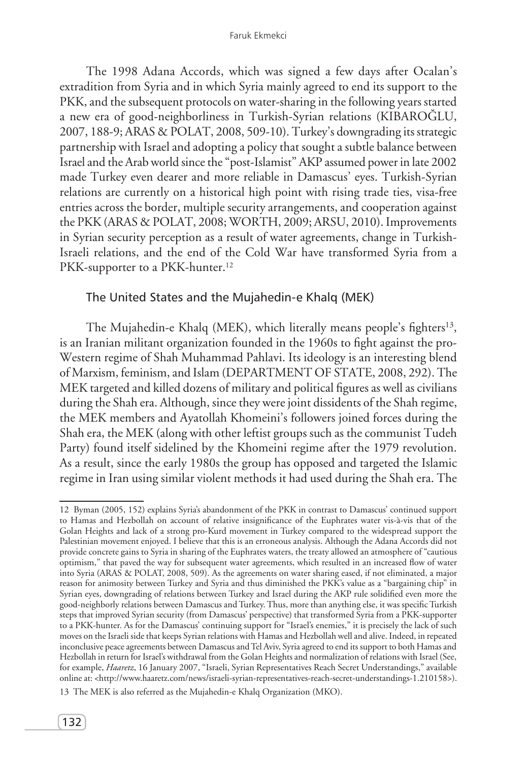The 1998 Adana Accords, which was signed a few days after Ocalan's extradition from Syria and in which Syria mainly agreed to end its support to the PKK, and the subsequent protocols on water-sharing in the following years started a new era of good-neighborliness in Turkish-Syrian relations (KIBAROĞLU, 2007, 188-9; ARAS & POLAT, 2008, 509-10). Turkey's downgrading its strategic partnership with Israel and adopting a policy that sought a subtle balance between Israel and the Arab world since the "post-Islamist" AKP assumed power in late 2002 made Turkey even dearer and more reliable in Damascus' eyes. Turkish-Syrian relations are currently on a historical high point with rising trade ties, visa-free entries across the border, multiple security arrangements, and cooperation against the PKK (ARAS & POLAT, 2008; WORTH, 2009; ARSU, 2010). Improvements in Syrian security perception as a result of water agreements, change in Turkish-Israeli relations, and the end of the Cold War have transformed Syria from a PKK-supporter to a PKK-hunter.<sup>12</sup>

### The United States and the Mujahedin-e Khalq (MEK)

The Mujahedin-e Khalq (MEK), which literally means people's fighters<sup>13</sup>, is an Iranian militant organization founded in the 1960s to fight against the pro-Western regime of Shah Muhammad Pahlavi. Its ideology is an interesting blend of Marxism, feminism, and Islam (DEPARTMENT OF STATE, 2008, 292). The MEK targeted and killed dozens of military and political figures as well as civilians during the Shah era. Although, since they were joint dissidents of the Shah regime, the MEK members and Ayatollah Khomeini's followers joined forces during the Shah era, the MEK (along with other leftist groups such as the communist Tudeh Party) found itself sidelined by the Khomeini regime after the 1979 revolution. As a result, since the early 1980s the group has opposed and targeted the Islamic regime in Iran using similar violent methods it had used during the Shah era. The

<sup>12</sup> Byman (2005, 152) explains Syria's abandonment of the PKK in contrast to Damascus' continued support to Hamas and Hezbollah on account of relative insignificance of the Euphrates water vis-à-vis that of the Golan Heights and lack of a strong pro-Kurd movement in Turkey compared to the widespread support the Palestinian movement enjoyed. I believe that this is an erroneous analysis. Although the Adana Accords did not provide concrete gains to Syria in sharing of the Euphrates waters, the treaty allowed an atmosphere of "cautious optimism," that paved the way for subsequent water agreements, which resulted in an increased flow of water into Syria (ARAS & POLAT, 2008, 509). As the agreements on water sharing eased, if not eliminated, a major reason for animosity between Turkey and Syria and thus diminished the PKK's value as a "bargaining chip" in Syrian eyes, downgrading of relations between Turkey and Israel during the AKP rule solidified even more the good-neighborly relations between Damascus and Turkey. Thus, more than anything else, it was specific Turkish steps that improved Syrian security (from Damascus' perspective) that transformed Syria from a PKK-supporter to a PKK-hunter. As for the Damascus' continuing support for "Israel's enemies," it is precisely the lack of such moves on the Israeli side that keeps Syrian relations with Hamas and Hezbollah well and alive. Indeed, in repeated inconclusive peace agreements between Damascus and Tel Aviv, Syria agreed to end its support to both Hamas and Hezbollah in return for Israel's withdrawal from the Golan Heights and normalization of relations with Israel (See, for example, *Haaretz*, 16 January 2007, "Israeli, Syrian Representatives Reach Secret Understandings," available online at: <http://www.haaretz.com/news/israeli-syrian-representatives-reach-secret-understandings-1.210158>).

<sup>13</sup> The MEK is also referred as the Mujahedin-e Khalq Organization (MKO).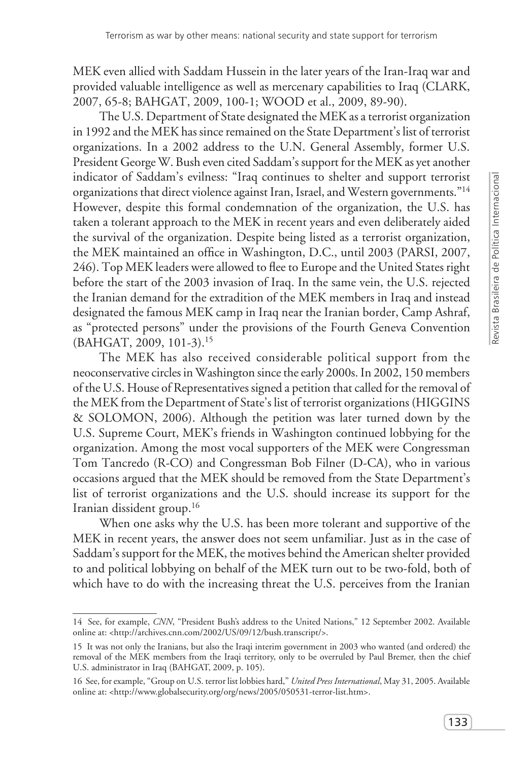MEK even allied with Saddam Hussein in the later years of the Iran-Iraq war and provided valuable intelligence as well as mercenary capabilities to Iraq (CLARK, 2007, 65-8; BAHGAT, 2009, 100-1; WOOD et al., 2009, 89-90).

The U.S. Department of State designated the MEK as a terrorist organization in 1992 and the MEK has since remained on the State Department's list of terrorist organizations. In a 2002 address to the U.N. General Assembly, former U.S. President George W. Bush even cited Saddam's support for the MEK as yet another indicator of Saddam's evilness: "Iraq continues to shelter and support terrorist organizations that direct violence against Iran, Israel, and Western governments."14 However, despite this formal condemnation of the organization, the U.S. has taken a tolerant approach to the MEK in recent years and even deliberately aided the survival of the organization. Despite being listed as a terrorist organization, the MEK maintained an office in Washington, D.C., until 2003 (PARSI, 2007, 246). Top MEK leaders were allowed to flee to Europe and the United States right before the start of the 2003 invasion of Iraq. In the same vein, the U.S. rejected the Iranian demand for the extradition of the MEK members in Iraq and instead designated the famous MEK camp in Iraq near the Iranian border, Camp Ashraf, as "protected persons" under the provisions of the Fourth Geneva Convention (BAHGAT, 2009, 101-3).15

The MEK has also received considerable political support from the neoconservative circles in Washington since the early 2000s. In 2002, 150 members of the U.S. House of Representatives signed a petition that called for the removal of the MEK from the Department of State's list of terrorist organizations (HIGGINS & SOLOMON, 2006). Although the petition was later turned down by the U.S. Supreme Court, MEK's friends in Washington continued lobbying for the organization. Among the most vocal supporters of the MEK were Congressman Tom Tancredo (R-CO) and Congressman Bob Filner (D-CA), who in various occasions argued that the MEK should be removed from the State Department's list of terrorist organizations and the U.S. should increase its support for the Iranian dissident group.16

When one asks why the U.S. has been more tolerant and supportive of the MEK in recent years, the answer does not seem unfamiliar. Just as in the case of Saddam's support for the MEK, the motives behind the American shelter provided to and political lobbying on behalf of the MEK turn out to be two-fold, both of which have to do with the increasing threat the U.S. perceives from the Iranian

<sup>14</sup> See, for example, *CNN*, "President Bush's address to the United Nations," 12 September 2002. Available online at: <http://archives.cnn.com/2002/US/09/12/bush.transcript/>.

<sup>15</sup> It was not only the Iranians, but also the Iraqi interim government in 2003 who wanted (and ordered) the removal of the MEK members from the Iraqi territory, only to be overruled by Paul Bremer, then the chief U.S. administrator in Iraq (BAHGAT, 2009, p. 105).

<sup>16</sup> See, for example, "Group on U.S. terror list lobbies hard," *United Press International*, May 31, 2005. Available online at: <http://www.globalsecurity.org/org/news/2005/050531-terror-list.htm>.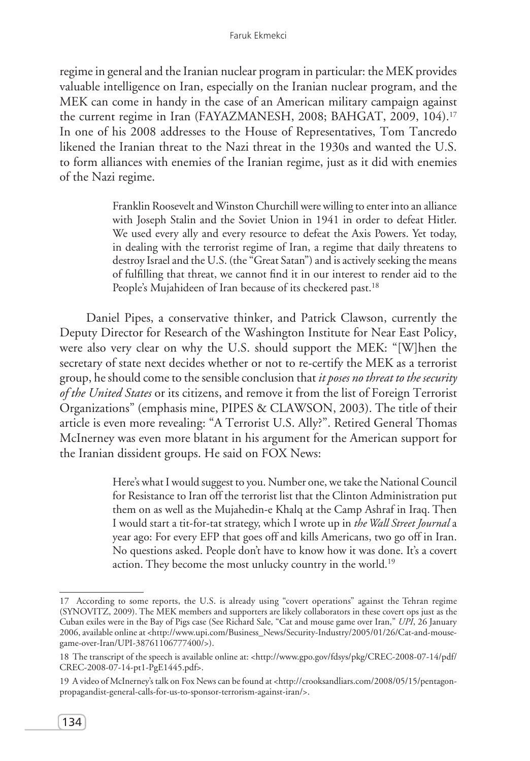regime in general and the Iranian nuclear program in particular: the MEK provides valuable intelligence on Iran, especially on the Iranian nuclear program, and the MEK can come in handy in the case of an American military campaign against the current regime in Iran (FAYAZMANESH, 2008; BAHGAT, 2009, 104).17 In one of his 2008 addresses to the House of Representatives, Tom Tancredo likened the Iranian threat to the Nazi threat in the 1930s and wanted the U.S. to form alliances with enemies of the Iranian regime, just as it did with enemies of the Nazi regime.

> Franklin Roosevelt and Winston Churchill were willing to enter into an alliance with Joseph Stalin and the Soviet Union in 1941 in order to defeat Hitler. We used every ally and every resource to defeat the Axis Powers. Yet today, in dealing with the terrorist regime of Iran, a regime that daily threatens to destroy Israel and the U.S. (the "Great Satan") and is actively seeking the means of fulfilling that threat, we cannot find it in our interest to render aid to the People's Mujahideen of Iran because of its checkered past.<sup>18</sup>

Daniel Pipes, a conservative thinker, and Patrick Clawson, currently the Deputy Director for Research of the Washington Institute for Near East Policy, were also very clear on why the U.S. should support the MEK: "[W]hen the secretary of state next decides whether or not to re-certify the MEK as a terrorist group, he should come to the sensible conclusion that *it poses no threat to the security of the United States* or its citizens, and remove it from the list of Foreign Terrorist Organizations" (emphasis mine, PIPES & CLAWSON, 2003). The title of their article is even more revealing: "A Terrorist U.S. Ally?". Retired General Thomas McInerney was even more blatant in his argument for the American support for the Iranian dissident groups. He said on FOX News:

> Here's what I would suggest to you. Number one, we take the National Council for Resistance to Iran off the terrorist list that the Clinton Administration put them on as well as the Mujahedin-e Khalq at the Camp Ashraf in Iraq. Then I would start a tit-for-tat strategy, which I wrote up in *the Wall Street Journal* a year ago: For every EFP that goes off and kills Americans, two go off in Iran. No questions asked. People don't have to know how it was done. It's a covert action. They become the most unlucky country in the world.<sup>19</sup>

<sup>17</sup> According to some reports, the U.S. is already using "covert operations" against the Tehran regime (SYNOVITZ, 2009). The MEK members and supporters are likely collaborators in these covert ops just as the Cuban exiles were in the Bay of Pigs case (See Richard Sale, "Cat and mouse game over Iran," *UPI*, 26 January 2006, available online at <http://www.upi.com/Business\_News/Security-Industry/2005/01/26/Cat-and-mousegame-over-Iran/UPI-38761106777400/>).

<sup>18</sup> The transcript of the speech is available online at: <http://www.gpo.gov/fdsys/pkg/CREC-2008-07-14/pdf/ CREC-2008-07-14-pt1-PgE1445.pdf>.

<sup>19</sup> A video of McInerney's talk on Fox News can be found at <http://crooksandliars.com/2008/05/15/pentagonpropagandist-general-calls-for-us-to-sponsor-terrorism-against-iran/>.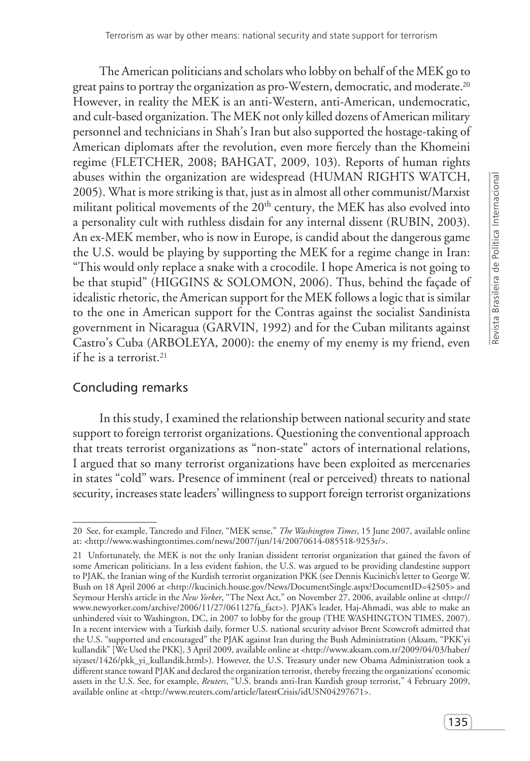The American politicians and scholars who lobby on behalf of the MEK go to great pains to portray the organization as pro-Western, democratic, and moderate.<sup>20</sup> However, in reality the MEK is an anti-Western, anti-American, undemocratic, and cult-based organization. The MEK not only killed dozens of American military personnel and technicians in Shah's Iran but also supported the hostage-taking of American diplomats after the revolution, even more fiercely than the Khomeini regime (FLETCHER, 2008; BAHGAT, 2009, 103). Reports of human rights abuses within the organization are widespread (HUMAN RIGHTS WATCH, 2005). What is more striking is that, just as in almost all other communist/Marxist militant political movements of the 20<sup>th</sup> century, the MEK has also evolved into a personality cult with ruthless disdain for any internal dissent (RUBIN, 2003). An ex-MEK member, who is now in Europe, is candid about the dangerous game the U.S. would be playing by supporting the MEK for a regime change in Iran: "This would only replace a snake with a crocodile. I hope America is not going to be that stupid" (HIGGINS & SOLOMON, 2006). Thus, behind the façade of idealistic rhetoric, the American support for the MEK follows a logic that is similar to the one in American support for the Contras against the socialist Sandinista government in Nicaragua (GARVIN, 1992) and for the Cuban militants against Castro's Cuba (ARBOLEYA, 2000): the enemy of my enemy is my friend, even if he is a terrorist.21

## Concluding remarks

In this study, I examined the relationship between national security and state support to foreign terrorist organizations. Questioning the conventional approach that treats terrorist organizations as "non-state" actors of international relations, I argued that so many terrorist organizations have been exploited as mercenaries in states "cold" wars. Presence of imminent (real or perceived) threats to national security, increases state leaders' willingness to support foreign terrorist organizations

<sup>20</sup> See, for example, Tancredo and Filner, "MEK sense," *The Washington Times*, 15 June 2007, available online at: <http://www.washingtontimes.com/news/2007/jun/14/20070614-085518-9253r/>.

<sup>21</sup> Unfortunately, the MEK is not the only Iranian dissident terrorist organization that gained the favors of some American politicians. In a less evident fashion, the U.S. was argued to be providing clandestine support to PJAK, the Iranian wing of the Kurdish terrorist organization PKK (see Dennis Kucinich's letter to George W. Bush on 18 April 2006 at <http://kucinich.house.gov/News/DocumentSingle.aspx?DocumentID=42505> and Seymour Hersh's article in the *New Yorker*, "The Next Act," on November 27, 2006, available online at <http:// www.newyorker.com/archive/2006/11/27/061127fa\_fact>). PJAK's leader, Haj-Ahmadi, was able to make an unhindered visit to Washington, DC, in 2007 to lobby for the group (THE WASHINGTON TIMES, 2007). In a recent interview with a Turkish daily, former U.S. national security advisor Brent Scowcroft admitted that the U.S. "supported and encouraged" the PJAK against Iran during the Bush Administration (Aksam, "PKK'yi kullandik" [We Used the PKK], 3 April 2009, available online at <http://www.aksam.com.tr/2009/04/03/haber/ siyaset/1426/pkk\_yi\_kullandik.html>). However, the U.S. Treasury under new Obama Administration took a different stance toward PJAK and declared the organization terrorist, thereby freezing the organizations' economic assets in the U.S. See, for example, *Reuters*, "U.S. brands anti-Iran Kurdish group terrorist," 4 February 2009, available online at <http://www.reuters.com/article/latestCrisis/idUSN04297671>.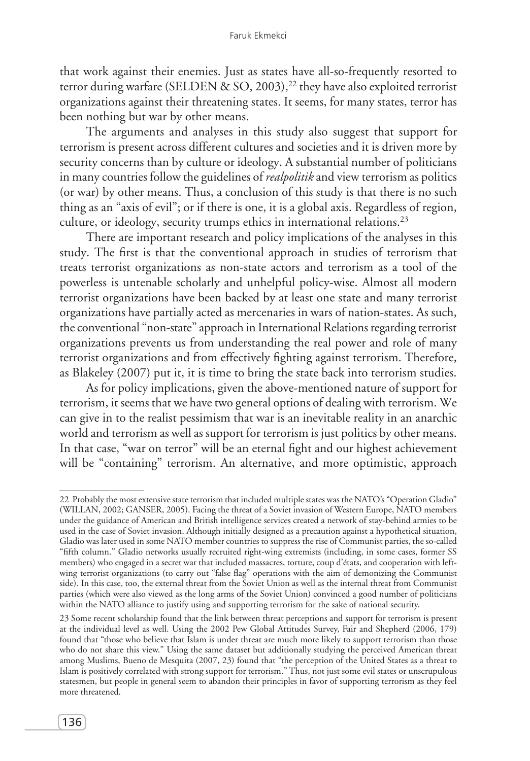that work against their enemies. Just as states have all-so-frequently resorted to terror during warfare (SELDEN & SO, 2003),<sup>22</sup> they have also exploited terrorist organizations against their threatening states. It seems, for many states, terror has been nothing but war by other means.

The arguments and analyses in this study also suggest that support for terrorism is present across different cultures and societies and it is driven more by security concerns than by culture or ideology. A substantial number of politicians in many countries follow the guidelines of *realpolitik* and view terrorism as politics (or war) by other means. Thus, a conclusion of this study is that there is no such thing as an "axis of evil"; or if there is one, it is a global axis. Regardless of region, culture, or ideology, security trumps ethics in international relations.<sup>23</sup>

There are important research and policy implications of the analyses in this study. The first is that the conventional approach in studies of terrorism that treats terrorist organizations as non-state actors and terrorism as a tool of the powerless is untenable scholarly and unhelpful policy-wise. Almost all modern terrorist organizations have been backed by at least one state and many terrorist organizations have partially acted as mercenaries in wars of nation-states. As such, the conventional "non-state" approach in International Relations regarding terrorist organizations prevents us from understanding the real power and role of many terrorist organizations and from effectively fighting against terrorism. Therefore, as Blakeley (2007) put it, it is time to bring the state back into terrorism studies.

As for policy implications, given the above-mentioned nature of support for terrorism, it seems that we have two general options of dealing with terrorism. We can give in to the realist pessimism that war is an inevitable reality in an anarchic world and terrorism as well as support for terrorism is just politics by other means. In that case, "war on terror" will be an eternal fight and our highest achievement will be "containing" terrorism. An alternative, and more optimistic, approach

<sup>22</sup> Probably the most extensive state terrorism that included multiple states was the NATO's "Operation Gladio" (WILLAN, 2002; GANSER, 2005). Facing the threat of a Soviet invasion of Western Europe, NATO members under the guidance of American and British intelligence services created a network of stay-behind armies to be used in the case of Soviet invasion. Although initially designed as a precaution against a hypothetical situation, Gladio was later used in some NATO member countries to suppress the rise of Communist parties, the so-called "fifth column." Gladio networks usually recruited right-wing extremists (including, in some cases, former SS members) who engaged in a secret war that included massacres, torture, coup d'états, and cooperation with leftwing terrorist organizations (to carry out "false flag" operations with the aim of demonizing the Communist side). In this case, too, the external threat from the Soviet Union as well as the internal threat from Communist parties (which were also viewed as the long arms of the Soviet Union) convinced a good number of politicians within the NATO alliance to justify using and supporting terrorism for the sake of national security.

<sup>23</sup> Some recent scholarship found that the link between threat perceptions and support for terrorism is present at the individual level as well. Using the 2002 Pew Global Attitudes Survey, Fair and Shepherd (2006, 179) found that "those who believe that Islam is under threat are much more likely to support terrorism than those who do not share this view." Using the same dataset but additionally studying the perceived American threat among Muslims, Bueno de Mesquita (2007, 23) found that "the perception of the United States as a threat to Islam is positively correlated with strong support for terrorism." Thus, not just some evil states or unscrupulous statesmen, but people in general seem to abandon their principles in favor of supporting terrorism as they feel more threatened.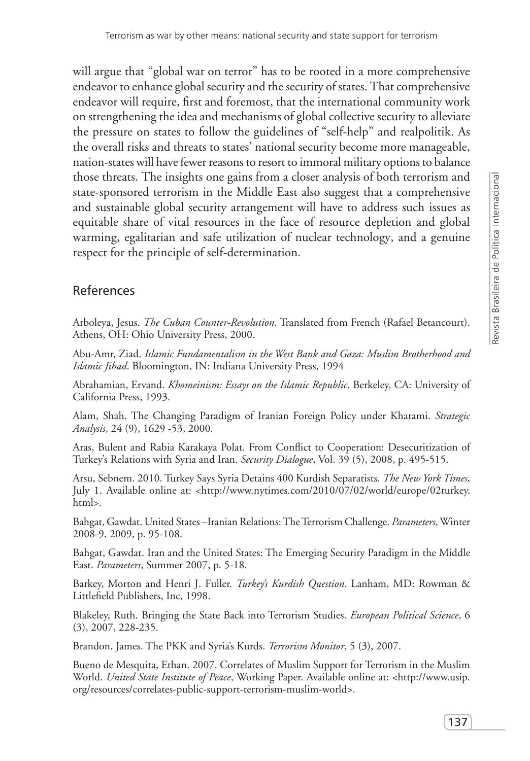will argue that "global war on terror" has to be rooted in a more comprehensive endeavor to enhance global security and the security of states. That comprehensive endeavor will require, first and foremost, that the international community work on strengthening the idea and mechanisms of global collective security to alleviate the pressure on states to follow the guidelines of "self-help" and realpolitik. As the overall risks and threats to states' national security become more manageable, nation-states will have fewer reasons to resort to immoral military options to balance those threats. The insights one gains from a closer analysis of both terrorism and state-sponsored terrorism in the Middle East also suggest that a comprehensive and sustainable global security arrangement will have to address such issues as equitable share of vital resources in the face of resource depletion and global warming, egalitarian and safe utilization of nuclear technology, and a genuine respect for the principle of self-determination.

## References

Arboleya, Jesus. *The Cuban Counter-Revolution*. Translated from French (Rafael Betancourt). Athens, OH: Ohio University Press, 2000.

Abu-Amr, Ziad. *Islamic Fundamentalism in the West Bank and Gaza: Muslim Brotherhood and Islamic Jihad*. Bloomington, IN: Indiana University Press, 1994

Abrahamian, Ervand. *Khomeinism: Essays on the Islamic Republic*. Berkeley, CA: University of California Press, 1993.

Alam, Shah. The Changing Paradigm of Iranian Foreign Policy under Khatami. *Strategic Analysis*, 24 (9), 1629 -53, 2000.

Aras, Bulent and Rabia Karakaya Polat. From Conflict to Cooperation: Desecuritization of Turkey's Relations with Syria and Iran. *Security Dialogue*, Vol. 39 (5), 2008, p. 495-515.

Arsu, Sebnem. 2010. Turkey Says Syria Detains 400 Kurdish Separatists. *The New York Times*, July 1. Available online at: <http://www.nytimes.com/2010/07/02/world/europe/02turkey. html>.

Bahgat, Gawdat. United States –Iranian Relations: The Terrorism Challenge. *Parameters*, Winter 2008-9, 2009, p. 95-108.

Bahgat, Gawdat. Iran and the United States: The Emerging Security Paradigm in the Middle East. *Parameters*, Summer 2007, p. 5-18.

Barkey, Morton and Henri J. Fuller. *Turkey's Kurdish Question*. Lanham, MD: Rowman & Littlefield Publishers, Inc, 1998.

Blakeley, Ruth. Bringing the State Back into Terrorism Studies. *European Political Science*, 6 (3), 2007, 228-235.

Brandon, James. The PKK and Syria's Kurds. *Terrorism Monitor*, 5 (3), 2007.

Bueno de Mesquita, Ethan. 2007. Correlates of Muslim Support for Terrorism in the Muslim World. *United State Institute of Peace*, Working Paper. Available online at: <http://www.usip. org/resources/correlates-public-support-terrorism-muslim-world>.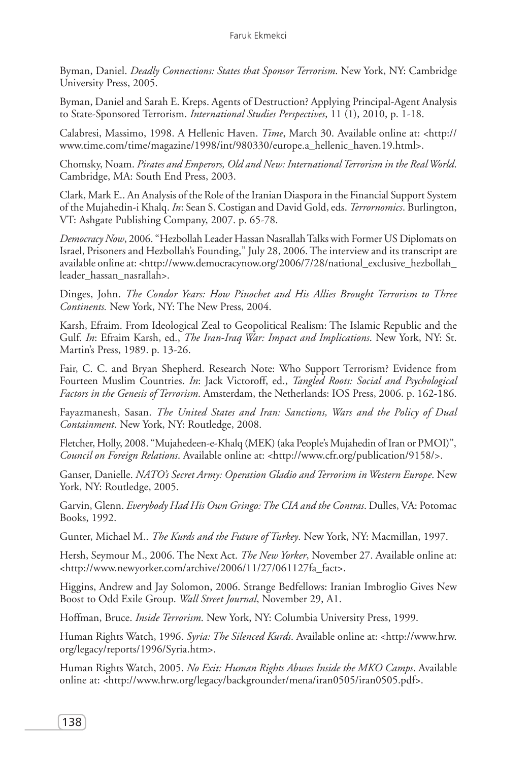Byman, Daniel. *Deadly Connections: States that Sponsor Terrorism*. New York, NY: Cambridge University Press, 2005.

Byman, Daniel and Sarah E. Kreps. Agents of Destruction? Applying Principal-Agent Analysis to State-Sponsored Terrorism. *International Studies Perspectives*, 11 (1), 2010, p. 1-18.

Calabresi, Massimo, 1998. A Hellenic Haven. *Time*, March 30. Available online at: <http:// www.time.com/time/magazine/1998/int/980330/europe.a\_hellenic\_haven.19.html>.

Chomsky, Noam. *Pirates and Emperors, Old and New: International Terrorism in the Real World*. Cambridge, MA: South End Press, 2003.

Clark, Mark E.. An Analysis of the Role of the Iranian Diaspora in the Financial Support System of the Mujahedin-i Khalq. *In*: Sean S. Costigan and David Gold, eds. *Terrornomics*. Burlington, VT: Ashgate Publishing Company, 2007. p. 65-78.

*Democracy Now*, 2006. "Hezbollah Leader Hassan Nasrallah Talks with Former US Diplomats on Israel, Prisoners and Hezbollah's Founding," July 28, 2006. The interview and its transcript are available online at: <http://www.democracynow.org/2006/7/28/national\_exclusive\_hezbollah\_ leader\_hassan\_nasrallah>.

Dinges, John. *The Condor Years: How Pinochet and His Allies Brought Terrorism to Three Continents.* New York, NY: The New Press, 2004.

Karsh, Efraim. From Ideological Zeal to Geopolitical Realism: The Islamic Republic and the Gulf. *In*: Efraim Karsh, ed., *The Iran-Iraq War: Impact and Implications*. New York, NY: St. Martin's Press, 1989. p. 13-26.

Fair, C. C. and Bryan Shepherd. Research Note: Who Support Terrorism? Evidence from Fourteen Muslim Countries. *In*: Jack Victoroff, ed., *Tangled Roots: Social and Psychological Factors in the Genesis of Terrorism*. Amsterdam, the Netherlands: IOS Press, 2006. p. 162-186.

Fayazmanesh, Sasan. *The United States and Iran: Sanctions, Wars and the Policy of Dual Containment*. New York, NY: Routledge, 2008.

Fletcher, Holly, 2008. "Mujahedeen-e-Khalq (MEK) (aka People's Mujahedin of Iran or PMOI)", *Council on Foreign Relations*. Available online at: <http://www.cfr.org/publication/9158/>.

Ganser, Danielle. *NATO's Secret Army: Operation Gladio and Terrorism in Western Europe*. New York, NY: Routledge, 2005.

Garvin, Glenn. *Everybody Had His Own Gringo: The CIA and the Contras*. Dulles, VA: Potomac Books, 1992.

Gunter, Michael M.. *The Kurds and the Future of Turkey*. New York, NY: Macmillan, 1997.

Hersh, Seymour M., 2006. The Next Act. *The New Yorker*, November 27. Available online at: <http://www.newyorker.com/archive/2006/11/27/061127fa\_fact>.

Higgins, Andrew and Jay Solomon, 2006. Strange Bedfellows: Iranian Imbroglio Gives New Boost to Odd Exile Group. *Wall Street Journal*, November 29, A1.

Hoffman, Bruce. *Inside Terrorism*. New York, NY: Columbia University Press, 1999.

Human Rights Watch, 1996. *Syria: The Silenced Kurds*. Available online at: <http://www.hrw. org/legacy/reports/1996/Syria.htm>.

Human Rights Watch, 2005. *No Exit: Human Rights Abuses Inside the MKO Camps*. Available online at: <http://www.hrw.org/legacy/backgrounder/mena/iran0505/iran0505.pdf>.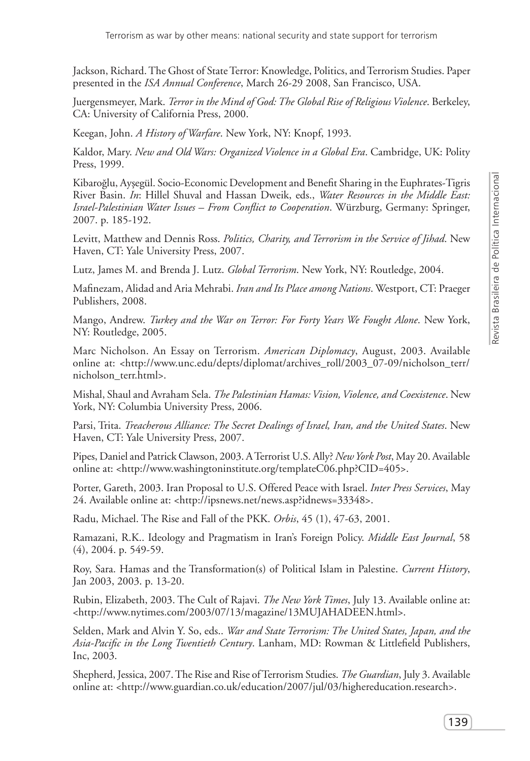Jackson, Richard. The Ghost of State Terror: Knowledge, Politics, and Terrorism Studies. Paper presented in the *ISA Annual Conference*, March 26-29 2008, San Francisco, USA.

Juergensmeyer, Mark. *Terror in the Mind of God: The Global Rise of Religious Violence*. Berkeley, CA: University of California Press, 2000.

Keegan, John. *A History of Warfare*. New York, NY: Knopf, 1993.

Kaldor, Mary. *New and Old Wars: Organized Violence in a Global Era*. Cambridge, UK: Polity Press, 1999.

Kibaroğlu, Ayşegül. Socio-Economic Development and Benefit Sharing in the Euphrates-Tigris River Basin. *In*: Hillel Shuval and Hassan Dweik, eds., *Water Resources in the Middle East: Israel-Palestinian Water Issues – From Conflict to Cooperation*. Würzburg, Germany: Springer, 2007. p. 185-192.

Levitt, Matthew and Dennis Ross. *Politics, Charity, and Terrorism in the Service of Jihad*. New Haven, CT: Yale University Press, 2007.

Lutz, James M. and Brenda J. Lutz. *Global Terrorism*. New York, NY: Routledge, 2004.

Mafinezam, Alidad and Aria Mehrabi. *Iran and Its Place among Nations*. Westport, CT: Praeger Publishers, 2008.

Mango, Andrew. *Turkey and the War on Terror: For Forty Years We Fought Alone*. New York, NY: Routledge, 2005.

Marc Nicholson. An Essay on Terrorism. *American Diplomacy*, August, 2003. Available online at: <http://www.unc.edu/depts/diplomat/archives\_roll/2003\_07-09/nicholson\_terr/ nicholson\_terr.html>.

Mishal, Shaul and Avraham Sela. *The Palestinian Hamas: Vision, Violence, and Coexistence*. New York, NY: Columbia University Press, 2006.

Parsi, Trita. *Treacherous Alliance: The Secret Dealings of Israel, Iran, and the United States*. New Haven, CT: Yale University Press, 2007.

Pipes, Daniel and Patrick Clawson, 2003. A Terrorist U.S. Ally? *New York Post*, May 20. Available online at: <http://www.washingtoninstitute.org/templateC06.php?CID=405>.

Porter, Gareth, 2003. Iran Proposal to U.S. Offered Peace with Israel. *Inter Press Services*, May 24. Available online at: <http://ipsnews.net/news.asp?idnews=33348>.

Radu, Michael. The Rise and Fall of the PKK. *Orbis*, 45 (1), 47-63, 2001.

Ramazani, R.K.. Ideology and Pragmatism in Iran's Foreign Policy. *Middle East Journal*, 58 (4), 2004. p. 549-59.

Roy, Sara. Hamas and the Transformation(s) of Political Islam in Palestine. *Current History*, Jan 2003, 2003. p. 13-20.

Rubin, Elizabeth, 2003. The Cult of Rajavi. *The New York Times*, July 13. Available online at: <http://www.nytimes.com/2003/07/13/magazine/13MUJAHADEEN.html>.

Selden, Mark and Alvin Y. So, eds.. *War and State Terrorism: The United States, Japan, and the Asia-Pacific in the Long Twentieth Century*. Lanham, MD: Rowman & Littlefield Publishers, Inc, 2003.

Shepherd, Jessica, 2007. The Rise and Rise of Terrorism Studies. *The Guardian*, July 3. Available online at: <http://www.guardian.co.uk/education/2007/jul/03/highereducation.research>.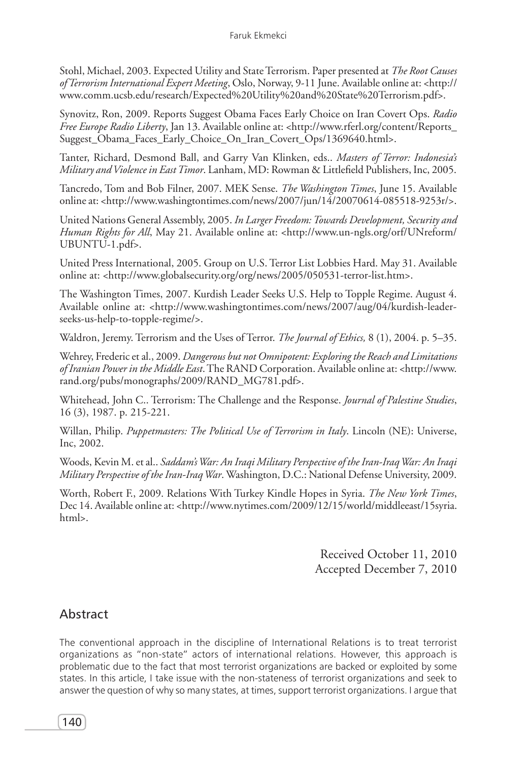Stohl, Michael, 2003. Expected Utility and State Terrorism. Paper presented at *The Root Causes of Terrorism International Expert Meeting*, Oslo, Norway, 9-11 June. Available online at: <http:// www.comm.ucsb.edu/research/Expected%20Utility%20and%20State%20Terrorism.pdf>.

Synovitz, Ron, 2009. Reports Suggest Obama Faces Early Choice on Iran Covert Ops. *Radio Free Europe Radio Liberty*, Jan 13. Available online at: <http://www.rferl.org/content/Reports\_ Suggest\_Obama\_Faces\_Early\_Choice\_On\_Iran\_Covert\_Ops/1369640.html>.

Tanter, Richard, Desmond Ball, and Garry Van Klinken, eds.. *Masters of Terror: Indonesia's Military and Violence in East Timor*. Lanham, MD: Rowman & Littlefield Publishers, Inc, 2005.

Tancredo, Tom and Bob Filner, 2007. MEK Sense. *The Washington Times*, June 15. Available online at: <http://www.washingtontimes.com/news/2007/jun/14/20070614-085518-9253r/>.

United Nations General Assembly, 2005. *In Larger Freedom: Towards Development, Security and Human Rights for All*, May 21. Available online at: <http://www.un-ngls.org/orf/UNreform/ UBUNTU-1.pdf>.

United Press International, 2005. Group on U.S. Terror List Lobbies Hard. May 31. Available online at: <http://www.globalsecurity.org/org/news/2005/050531-terror-list.htm>.

The Washington Times, 2007. Kurdish Leader Seeks U.S. Help to Topple Regime. August 4. Available online at: <http://www.washingtontimes.com/news/2007/aug/04/kurdish-leaderseeks-us-help-to-topple-regime/>.

Waldron, Jeremy. Terrorism and the Uses of Terror. *The Journal of Ethics,* 8 (1), 2004. p. 5–35.

Wehrey, Frederic et al., 2009. *Dangerous but not Omnipotent: Exploring the Reach and Limitations of Iranian Power in the Middle East*. The RAND Corporation. Available online at: <http://www. rand.org/pubs/monographs/2009/RAND\_MG781.pdf>.

Whitehead, John C.. Terrorism: The Challenge and the Response. *Journal of Palestine Studies*, 16 (3), 1987. p. 215-221.

Willan, Philip. *Puppetmasters: The Political Use of Terrorism in Italy*. Lincoln (NE): Universe, Inc, 2002.

Woods, Kevin M. et al.. *Saddam's War: An Iraqi Military Perspective of the Iran-Iraq War: An Iraqi Military Perspective of the Iran-Iraq War*. Washington, D.C.: National Defense University, 2009.

Worth, Robert F., 2009. Relations With Turkey Kindle Hopes in Syria. *The New York Times*, Dec 14. Available online at: <http://www.nytimes.com/2009/12/15/world/middleeast/15syria. html>.

> Received October 11, 2010 Accepted December 7, 2010

## Abstract

The conventional approach in the discipline of International Relations is to treat terrorist organizations as "non-state" actors of international relations. However, this approach is problematic due to the fact that most terrorist organizations are backed or exploited by some states. In this article, I take issue with the non-stateness of terrorist organizations and seek to answer the question of why so many states, at times, support terrorist organizations. I argue that